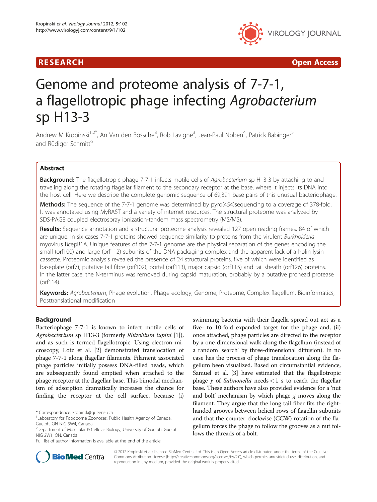# R E S EAR CH Open Access



# Genome and proteome analysis of 7-7-1, a flagellotropic phage infecting Agrobacterium sp H13-3

Andrew M Kropinski<sup>1,2\*</sup>, An Van den Bossche<sup>3</sup>, Rob Lavigne<sup>3</sup>, Jean-Paul Noben<sup>4</sup>, Patrick Babinger<sup>5</sup> and Rüdiger Schmitt<sup>6</sup>

# Abstract

**Background:** The flagellotropic phage 7-7-1 infects motile cells of Agrobacterium sp H13-3 by attaching to and traveling along the rotating flagellar filament to the secondary receptor at the base, where it injects its DNA into the host cell. Here we describe the complete genomic sequence of 69,391 base pairs of this unusual bacteriophage.

Methods: The sequence of the 7-7-1 genome was determined by pyro(454)sequencing to a coverage of 378-fold. It was annotated using MyRAST and a variety of internet resources. The structural proteome was analyzed by SDS-PAGE coupled electrospray ionization-tandem mass spectrometry (MS/MS).

Results: Sequence annotation and a structural proteome analysis revealed 127 open reading frames, 84 of which are unique. In six cases 7-7-1 proteins showed sequence similarity to proteins from the virulent Burkholderia myovirus BcepB1A. Unique features of the 7-7-1 genome are the physical separation of the genes encoding the small (orf100) and large (orf112) subunits of the DNA packaging complex and the apparent lack of a holin-lysin cassette. Proteomic analysis revealed the presence of 24 structural proteins, five of which were identified as baseplate (orf7), putative tail fibre (orf102), portal (orf113), major capsid (orf115) and tail sheath (orf126) proteins. In the latter case, the N-terminus was removed during capsid maturation, probably by a putative prohead protease (orf114).

Keywords: Agrobacterium, Phage evolution, Phage ecology, Genome, Proteome, Complex flagellum, Bioinformatics, Posttranslational modification

# Background

Bacteriophage 7-7-1 is known to infect motile cells of Agrobacterium sp H13-3 (formerly Rhizobium lupini [\[1](#page-6-0)]), and as such is termed flagellotropic. Using electron microscopy, Lotz et al. [\[2\]](#page-6-0) demonstrated translocation of phage 7-7-1 along flagellar filaments. Filament associated phage particles initially possess DNA-filled heads, which are subsequently found emptied when attached to the phage receptor at the flagellar base. This bimodal mechanism of adsorption dramatically increases the chance for finding the receptor at the cell surface, because (i)

swimming bacteria with their flagella spread out act as a five- to 10-fold expanded target for the phage and, (ii) once attached, phage particles are directed to the receptor by a one-dimensional walk along the flagellum (instead of a random 'search' by three-dimensional diffusion). In no case has the process of phage translocation along the flagellum been visualized. Based on circumstantial evidence, Samuel et al. [\[3](#page-6-0)] have estimated that the flagellotropic phage  $\chi$  of Salmonella needs < 1 s to reach the flagellar base. These authors have also provided evidence for a 'nut and bolt' mechanism by which phage  $\chi$  moves along the filament. They argue that the long tail fiber fits the righthanded grooves between helical rows of flagellin subunits and that the counter-clockwise (CCW) rotation of the flagellum forces the phage to follow the grooves as a nut follows the threads of a bolt.



© 2012 Kropinski et al.; licensee BioMed Central Ltd. This is an Open Access article distributed under the terms of the Creative Commons Attribution License [\(http://creativecommons.org/licenses/by/2.0\)](http://creativecommons.org/licenses/by/2.0), which permits unrestricted use, distribution, and reproduction in any medium, provided the original work is properly cited.

<sup>\*</sup> Correspondence: [kropinsk@queensu.ca](mailto:kropinsk@queensu.ca) <sup>1</sup>

<sup>&</sup>lt;sup>1</sup> Laboratory for Foodborne Zoonoses, Public Health Agency of Canada, Guelph, ON NIG 3W4, Canada

<sup>&</sup>lt;sup>2</sup>Department of Molecular & Cellular Biology, University of Guelph, Guelph NIG 2W1, ON, Canada

Full list of author information is available at the end of the article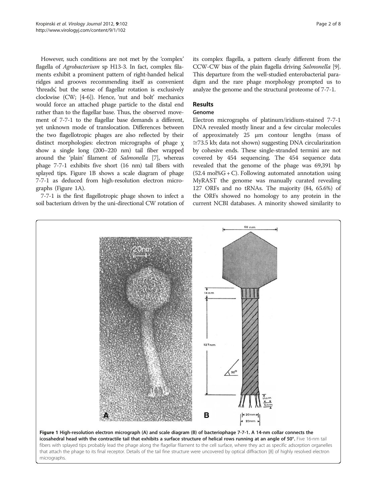However, such conditions are not met by the 'complex' flagella of Agrobacterium sp H13-3. In fact, complex filaments exhibit a prominent pattern of right-handed helical ridges and grooves recommending itself as convenient 'threads, but the sense of flagellar rotation is exclusively ' clockwise (CW; [\[4-6\]](#page-6-0)). Hence, 'nut and bolt' mechanics would force an attached phage particle to the distal end rather than to the flagellar base. Thus, the observed movement of 7-7-1 to the flagellar base demands a different, yet unknown mode of translocation. Differences between the two flagellotropic phages are also reflected by their distinct morphologies: electron micrographs of phage χ show a single long (200–220 nm) tail fiber wrapped around the 'plain' filament of Salmonella [\[7\]](#page-6-0), whereas phage 7-7-1 exhibits five short (16 nm) tail fibers with splayed tips. Figure 1B shows a scale diagram of phage 7-7-1 as deduced from high-resolution electron micrographs (Figure 1A).

7-7-1 is the first flagellotropic phage shown to infect a soil bacterium driven by the uni-directional CW rotation of its complex flagella, a pattern clearly different from the CCW-CW bias of the plain flagella driving Salmonella [[9](#page-6-0)]. This departure from the well-studied enterobacterial paradigm and the rare phage morphology prompted us to analyze the genome and the structural proteome of 7-7-1.

## Results

#### Genome

Electron micrographs of platinum/iridium-stained 7-7-1 DNA revealed mostly linear and a few circular molecules of approximately 25 μm contour lengths (mass of  $\approx$ 73.5 kb; data not shown) suggesting DNA circularization by cohesive ends. These single-stranded termini are not covered by 454 sequencing. The 454 sequence data revealed that the genome of the phage was 69,391 bp  $(52.4 \text{ mol}\%G + C)$ . Following automated annotation using MyRAST the genome was manually curated revealing 127 ORFs and no tRNAs. The majority (84, 65.6%) of the ORFs showed no homology to any protein in the current NCBI databases. A minority showed similarity to



fibers with splayed tips probably lead the phage along the flagellar filament to the cell surface, where they act as specific adsorption organelles that attach the phage to its final receptor. Details of the tail fine structure were uncovered by optical diffraction [\[8](#page-6-0)] of highly resolved electron micrographs.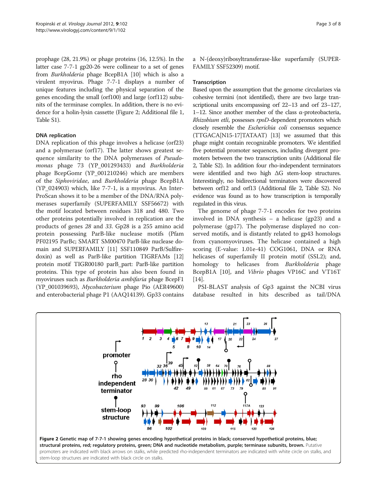prophage (28, 21.9%) or phage proteins (16, 12.5%). In the latter case 7-7-1 gp20-26 were collinear to a set of genes from Burkholderia phage BcepB1A [[10](#page-6-0)] which is also a virulent myovirus. Phage 7-7-1 displays a number of unique features including the physical separation of the genes encoding the small (orf100) and large (orf112) subunits of the terminase complex. In addition, there is no evidence for a holin-lysin cassette (Figure 2; Additional file [1](#page-6-0), Table S1).

# DNA replication

DNA replication of this phage involves a helicase (orf23) and a polymerase (orf17). The latter shows greatest sequence similarity to the DNA polymerases of Pseudomonas phage 73 (YP\_001293433) and Burkholderia phage BcepGomr (YP\_001210246) which are members of the Siphoviridae, and Burkholderia phage BcepB1A (YP\_024903) which, like 7-7-1, is a myovirus. An Inter-ProScan shows it to be a member of the DNA/RNA polymerases superfamily (SUPERFAMILY SSF56672) with the motif located between residues 318 and 480. Two other proteins potentially involved in replication are the products of genes 28 and 33. Gp28 is a 255 amino acid protein possessing ParB-like nuclease motifs (Pfam PF02195 ParBc; SMART SM00470 ParB-like nuclease domain and SUPERFAMILY [[11](#page-6-0)] SSF110849 ParB/Sulfiredoxin) as well as ParB-like partition TIGRFAMs [[12](#page-6-0)] protein motif TIGR00180 parB\_part: ParB-like partition proteins. This type of protein has also been found in myoviruses such as Burkholderia ambifaria phage BcepF1 (YP\_001039693), Mycobacterium phage Pio (AER49600) and enterobacterial phage P1 (AAQ14139). Gp33 contains

a N-(deoxy)ribosyltransferase-like superfamily (SUPER-FAMILY SSF52309) motif.

#### **Transcription**

Based upon the assumption that the genome circularizes via cohesive termini (not identified), there are two large transcriptional units encompassing orf 22–13 and orf 23–127, 1–12. Since another member of the class α-proteobacteria, Rhizobium etli, possesses rpoD-dependent promoters which closely resemble the Escherichia coli consensus sequence (TTGACA[N15-17]TATAAT) [\[13\]](#page-6-0) we assumed that this phage might contain recognizable promoters. We identified five potential promoter sequences, including divergent promoters between the two transcription units (Additional file [2](#page-6-0), Table S2). In addition four rho-independent terminators were identified and two high ΔG stem-loop structures. Interestingly, no bidirectional terminators were discovered between orf12 and orf13 (Additional file [2,](#page-6-0) Table S2). No evidence was found as to how transcription is temporally regulated in this virus.

The genome of phage 7-7-1 encodes for two proteins involved in DNA synthesis – a helicase (gp23) and a polymerase (gp17). The polymerase displayed no conserved motifs, and is distantly related to gp43 homologs from cyanomyoviruses. The helicase contained a high scoring (E-value: 1.01e-41) COG1061, DNA or RNA helicases of superfamily II protein motif (SSL2); and, homology to helicases from Burkholderia phage BcepB1A [[10\]](#page-6-0), and Vibrio phages VP16C and VT16T [[14\]](#page-6-0).

PSI-BLAST analysis of Gp3 against the NCBI virus database resulted in hits described as tail/DNA

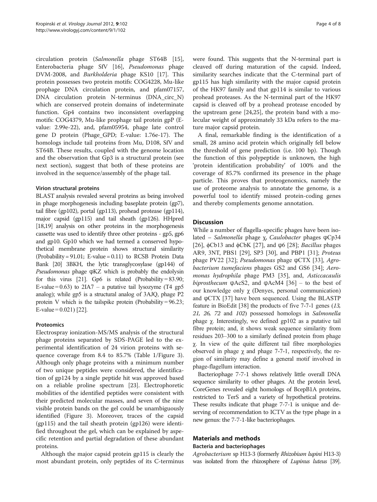circulation protein (Salmonella phage ST64B [\[15](#page-6-0)], Enterobacteria phage SfV [[16\]](#page-6-0), Pseudomonas phage DVM-2008, and Burkholderia phage KS10 [\[17](#page-6-0)]. This protein possesses two protein motifs: COG4228, Mu-like prophage DNA circulation protein, and pfam07157, DNA circulation protein N-terminus (DNA\_circ\_N) which are conserved protein domains of indeterminate function. Gp4 contains two inconsistent overlapping motifs: COG4379, Mu-like prophage tail protein gpP (Evalue: 2.99e-22), and, pfam05954, phage late control gene D protein (Phage\_GPD; E-value: 1.76e-17). The homologs include tail proteins from Mu, D108, SfV and ST64B. These results, coupled with the genome location and the observation that Gp3 is a structural protein (see next section), suggest that both of these proteins are involved in the sequence/assembly of the phage tail.

### Virion structural proteins

BLAST analysis revealed several proteins as being involved in phage morphogenesis including baseplate protein (gp7), tail fibre (gp102), portal (gp113), prohead protease (gp114), major capsid (gp115) and tail sheath (gp126). HHpred [[18,19\]](#page-6-0) analysis on other proteins in the morphogenesis cassette was used to identify three other proteins - gp5, gp6 and gp10. Gp10 which we had termed a conserved hypothetical membrane protein shows structural similarity (Probability = 91.01; E-value = 0.11) to RCSB Protein Data Bank [\[20](#page-6-0)] 3BKH, the lytic transglycosylase (gp144) of Pseudomonas phage ϕKZ which is probably the endolysin for this virus [[21\]](#page-6-0). Gp6 is related (Probability =  $83.90$ ; E-value =  $0.63$ ) to  $2IA7 - a$  putative tail lysozyme (T4 gp5 analog); while gp5 is a structural analog of 3AJQ, phage P2 protein V which is the tailspike protein (Probability =  $96.23$ ; E-value =  $0.021$ ) [\[22](#page-6-0)].

# Proteomics

Electrospray ionization-MS/MS analysis of the structural phage proteins separated by SDS-PAGE led to the experimental identification of 24 virion proteins with sequence coverage from 8.4 to 85.7% (Table [1/](#page-4-0)Figure [3](#page-5-0)). Although only phage proteins with a minimum number of two unique peptides were considered, the identification of gp124 by a single peptide hit was approved based on a reliable proline spectrum [[23\]](#page-6-0). Electrophoretic mobilities of the identified peptides were consistent with their predicted molecular masses, and seven of the nine visible protein bands on the gel could be unambiguously identified (Figure [3\)](#page-5-0). Moreover, traces of the capsid (gp115) and the tail sheath protein (gp126) were identified throughout the gel, which can be explained by aspecific retention and partial degradation of these abundant proteins.

Although the major capsid protein gp115 is clearly the most abundant protein, only peptides of its C-terminus were found. This suggests that the N-terminal part is cleaved off during maturation of the capsid. Indeed, similarity searches indicate that the C-terminal part of gp115 has high similarity with the major capsid protein of the HK97 family and that gp114 is similar to various prohead proteases. As the N-terminal part of the HK97 capsid is cleaved off by a prohead protease encoded by the upstream gene [\[24](#page-6-0)[,25](#page-7-0)], the protein band with a molecular weight of approximately 33 kDa refers to the mature major capsid protein.

A final, remarkable finding is the identification of a small, 28 amino acid protein which originally fell below the threshold of gene prediction (i.e. 100 bp). Though the function of this polypeptide is unknown, the high 'protein identification probability' of 100% and the coverage of 85.7% confirmed its presence in the phage particle. This proves that proteogenomics, namely the use of proteome analysis to annotate the genome, is a powerful tool to identify missed protein-coding genes and thereby complements genome annotation.

### **Discussion**

While a number of flagella-specific phages have been isolated – Salmonella phage χ, Caulobacter phages ϕCp34 [[26\]](#page-7-0), φCb13 and φCbK [\[27](#page-7-0)], and φ6 [[28\]](#page-7-0); Bacillus phages AR9, 3NT, PBS1 [[29\]](#page-7-0), SP3 [\[30](#page-7-0)], and PBP1 [\[31](#page-7-0)]; Proteus phage PV22 [\[32](#page-7-0)]; *Pseudomonas* phage φCTX [\[33](#page-7-0)], *Agro*bacterium tumefaciens phages GS2 and GS6 [[34\]](#page-7-0); Aeromonas hydrophila phage PM3 [[35](#page-7-0)], and, Asticcacaulis biprosthecum  $\varphi$ AcS2, and  $\varphi$ AcM4 [[36\]](#page-7-0) – to the best of our knowledge only χ (Denyes, personal communication) and  $\varphi$ CTX [[37\]](#page-7-0) have been sequenced. Using the BLASTP feature in BioEdit [\[38\]](#page-7-0) the products of five 7-7-1 genes (13, 21, 26, 72 and 102) possessed homologs in Salmonella phage χ. Interestingly, we defined gp102 as a putative tail fibre protein; and, it shows weak sequence similarity from residues 203–300 to a similarly defined protein from phage χ. In view of the quite different tail fibre morphologies observed in phage  $\chi$  and phage 7-7-1, respectively, the region of similarity may define a general motif involved in phage-flagellum interaction.

Bacteriophage 7-7-1 shows relatively little overall DNA sequence similarity to other phages. At the protein level, CoreGenes revealed eight homologs of BcepB1A proteins, restricted to TerS and a variety of hypothetical proteins. These results indicate that phage 7-7-1 is unique and deserving of recommendation to ICTV as the type phage in a new genus: the 7-7-1-like bacteriophages.

# Materials and methods

#### Bacteria and bacteriophages

Agrobacterium sp H13-3 (formerly Rhizobium lupini H13-3) was isolated from the rhizosphere of Lupinus luteus [\[39\]](#page-7-0).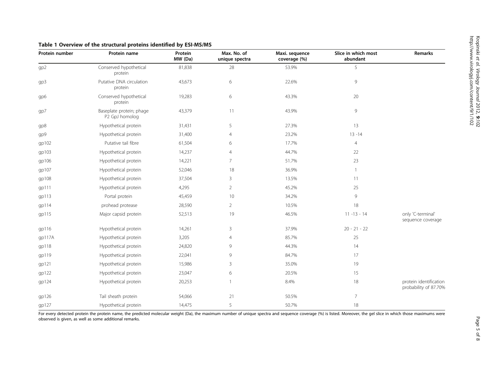| Protein number | Protein name                               | Protein<br>MW (Da) | Max. No. of<br>unique spectra | Maxi. sequence<br>coverage (%) | Slice in which most<br>abundant | Remarks                                         |
|----------------|--------------------------------------------|--------------------|-------------------------------|--------------------------------|---------------------------------|-------------------------------------------------|
| gp2            | Conserved hypothetical<br>protein          | 81,838             | 28                            | 53.9%                          | 5                               |                                                 |
| gp3            | Putative DNA circulation<br>protein        | 43,673             | 6                             | 22.6%                          | $\mathsf{9}$                    |                                                 |
| gp6            | Conserved hypothetical<br>protein          | 19,283             | 6                             | 43.3%                          | $20\,$                          |                                                 |
| gp7            | Baseplate protein; phage<br>P2 GpJ homolog | 43,379             | 11                            | 43.9%                          | 9                               |                                                 |
| gp8            | Hypothetical protein                       | 31,431             | 5                             | 27.3%                          | 13                              |                                                 |
| gp9            | Hypothetical protein                       | 31,400             | 4                             | 23.2%                          | $13 - 14$                       |                                                 |
| gp102          | Putative tail fibre                        | 61,504             | 6                             | 17.7%                          | $\overline{4}$                  |                                                 |
| gp103          | Hypothetical protein                       | 14,237             | $\overline{4}$                | 44.7%                          | 22                              |                                                 |
| gp106          | Hypothetical protein                       | 14,221             | $\overline{7}$                | 51.7%                          | 23                              |                                                 |
| gp107          | Hypothetical protein                       | 52,046             | 18                            | 36.9%                          | -1                              |                                                 |
| gp108          | Hypothetical protein                       | 37,504             | 3                             | 13.5%                          | 11                              |                                                 |
| gp111          | Hypothetical protein                       | 4,295              | $\overline{2}$                | 45.2%                          | 25                              |                                                 |
| gp113          | Portal protein                             | 45,459             | 10                            | 34.2%                          | 9                               |                                                 |
| gp114          | prohead protease                           | 28,590             | $\overline{2}$                | 10.5%                          | $18\,$                          |                                                 |
| gp115          | Major capsid protein                       | 52,513             | 19                            | 46.5%                          | $11 - 13 - 14$                  | only 'C-terminal'<br>sequence coverage          |
| qp116          | Hypothetical protein                       | 14,261             | $\mathsf 3$                   | 37.9%                          | $20 - 21 - 22$                  |                                                 |
| qp117A         | Hypothetical protein                       | 3,205              | 4                             | 85.7%                          | 25                              |                                                 |
| gp118          | Hypothetical protein                       | 24,820             | 9                             | 44.3%                          | 14                              |                                                 |
| gp119          | Hypothetical protein                       | 22,041             | 9                             | 84.7%                          | 17                              |                                                 |
| gp121          | Hypothetical protein                       | 15,986             | 3                             | 35.0%                          | 19                              |                                                 |
| gp122          | Hypothetical protein                       | 23,047             | 6                             | 20.5%                          | 15                              |                                                 |
| gp124          | Hypothetical protein                       | 20,253             |                               | 8.4%                           | $18\,$                          | protein identification<br>probability of 87.70% |
| gp126          | Tail sheath protein                        | 54,066             | 21                            | 50.5%                          | 7                               |                                                 |
| gp127          | Hypothetical protein                       | 14,475             | 5                             | 50.7%                          | 18                              |                                                 |

### <span id="page-4-0"></span>Table 1 Overview of the structural proteins identified by ESI-MS/MS

For every detected protein the protein name, the predicted molecular weight (Da), the maximum number of unique spectra and sequence coverage (%) is listed. Moreover, the gel slice in which those maximums were observed is given, as well as some additional remarks.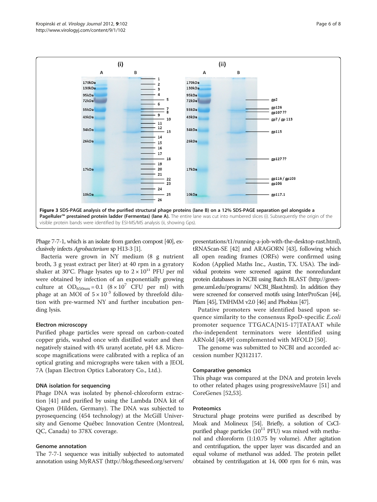<span id="page-5-0"></span>

Phage 7-7-1, which is an isolate from garden compost [\[40\]](#page-7-0), exclusively infects Agrobacterium sp H13-3 [\[1](#page-6-0)].

Bacteria were grown in NY medium (8 g nutrient broth, 3 g yeast extract per liter) at 40 rpm in a gyratory shaker at 30°C. Phage lysates up to  $2 \times 10^{11}$  PFU per ml were obtained by infection of an exponentially growing culture at  $OD_{650nm} = 0.1$   $(8 \times 10^7$  CFU per ml) with phage at an MOI of  $5 \times 10^{-3}$  followed by threefold dilution with pre-warmed NY and further incubation pending lysis.

#### Electron microscopy

Purified phage particles were spread on carbon-coated copper grids, washed once with distilled water and then negatively stained with 4% uranyl acetate, pH 4.8. Microscope magnifications were calibrated with a replica of an optical grating and micrographs were taken with a JEOL 7A (Japan Electron Optics Laboratory Co., Ltd.).

#### DNA isolation for sequencing

Phage DNA was isolated by phenol-chloroform extraction [[41\]](#page-7-0) and purified by using the Lambda DNA kit of Qiagen (Hilden, Germany). The DNA was subjected to pyrosequencing (454 technology) at the McGill University and Genome Québec Innovation Centre (Montreal, QC, Canada) to 378X coverage.

#### Genome annotation

The 7-7-1 sequence was initially subjected to automated annotation using MyRAST ([http://blog.theseed.org/servers/](http://blog.theseed.org/servers/presentations/t1/running-a-job-with-the-desktop-rast.html)

[presentations/t1/running-a-job-with-the-desktop-rast.html](http://blog.theseed.org/servers/presentations/t1/running-a-job-with-the-desktop-rast.html)), tRNAScan-SE [\[42\]](#page-7-0) and ARAGORN [\[43\]](#page-7-0), following which all open reading frames (ORFs) were confirmed using Kodon (Applied Maths Inc., Austin, TX. USA). The individual proteins were screened against the nonredundant protein databases in NCBI using Batch BLAST [\(http://green](http://greengene.uml.edu/programs/ NCBI_Blast.html)[gene.uml.edu/programs/](http://greengene.uml.edu/programs/ NCBI_Blast.html) NCBI\_Blast.html). In addition they were screened for conserved motifs using InterProScan [\[44\]](#page-7-0), Pfam [\[45\]](#page-7-0), TMHMM v2.0 [\[46\]](#page-7-0) and Phobius [[47\]](#page-7-0).

Putative promoters were identified based upon sequence similarity to the consensus RpoD-specific E.coli promoter sequence TTGACA[N15-17]TATAAT while rho-independent terminators were identified using ARNold [[48,49](#page-7-0)] complemented with MFOLD [[50\]](#page-7-0).

The genome was submitted to NCBI and accorded accession number JQ312117.

#### Comparative genomics

This phage was compared at the DNA and protein levels to other related phages using progressiveMauve [\[51](#page-7-0)] and CoreGenes [[52,53\]](#page-7-0).

# **Proteomics**

Structural phage proteins were purified as described by Moak and Molineux [\[54](#page-7-0)]. Briefly, a solution of CsClpurified phage particles  $(10^{11}$  PFU) was mixed with methanol and chloroform (1:1:0.75 by volume). After agitation and centrifugation, the upper layer was discarded and an equal volume of methanol was added. The protein pellet obtained by centrifugation at 14, 000 rpm for 6 min, was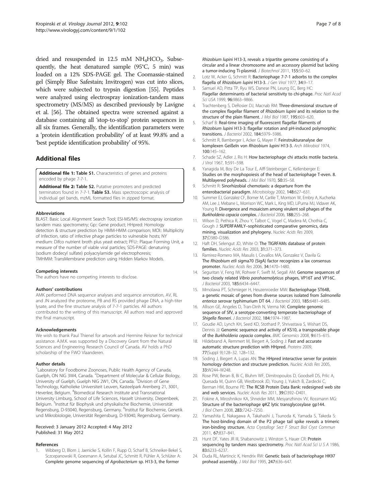<span id="page-6-0"></span>dried and resuspended in  $12.5$  mM NH<sub>4</sub>HCO<sub>3</sub>. Subsequently, the heat denatured sample (95°C, 5 min) was loaded on a 12% SDS-PAGE gel. The Coomassie-stained gel (Simply Blue Safestain; Invitrogen) was cut into slices, which were subjected to trypsin digestion [\[55\]](#page-7-0). Peptides were analyzed using electrospray ionization-tandem mass spectrometry (MS/MS) as described previously by Lavigne et al. [\[56\]](#page-7-0). The obtained spectra were screened against a database containing all 'stop-to-stop' protein sequences in all six frames. Generally, the identification parameters were a 'protein identification probability' of at least 99.8% and a 'best peptide identification probability' of 95%.

# Additional files

[Additional file 1:](http://www.biomedcentral.com/content/supplementary/1743-422X-9-102-S1.doc) Table S1. Characteristics of genes and proteins encoded by phage 7-7-1.

[Additional file 2:](http://www.biomedcentral.com/content/supplementary/1743-422X-9-102-S2.doc) Table S2. Putative promoters and predicted terminators found in 7-7-1. Table S3. Mass spectroscopic analysis of individual gel bands, mzML formatted files in zipped format.

#### Abbreviations

BLAST: Basic Local Alignment Search Tool; ESI-MS/MS: electrospray ionization tandem mass spectrometry; Gp:: Gene product; HHpred: Homology detection & structure prediction by HMM-HMM comparison; MOI:: Multiplicity of Infection, ratio of infective phage particles to vulnerable hosts; NY medium: Difco nutrient broth plus yeast extract; PFU:: Plaque Forming Unit, a measure of the number of viable viral particles; SDS-PAGE: denaturing (sodium dodecyl sulfate) polyacrylamide gel electrophoresis; TMHMM: TransMembrane prediction using Hidden Markov Models.

#### Competing interests

The authors have no competing interests to disclose.

#### Authors' contributions

AMK performed DNA sequence analyses and sequence annotation, AV, RL and JN analyzed the proteome, PB and RS provided phage DNA, a high-titer lysate, and the fine structure analysis of 7-7-1 particles. All authors contributed to the writing of this manuscript. All authors read and approved the final manuscript.

#### Acknowledgements

We wish to thank Paul Thienel for artwork and Hermine Reisner for technical assistance. A.M.K. was supported by a Discovery Grant from the Natural Sciences and Engineering Research Council of Canada. AV holds a PhD scholarship of the FWO Vlaanderen.

#### Author details

<sup>1</sup> Laboratory for Foodborne Zoonoses, Public Health Agency of Canada, Guelph, ON NIG 3W4, Canada. <sup>2</sup>Department of Molecular & Cellular Biology, University of Guelph, Guelph NIG 2W1, ON, Canada. <sup>3</sup>Division of Gene Technology, Katholieke Universiteit Leuven, Kasteelpark Arenberg 21, 3001, Heverlee, Belgium. <sup>4</sup>Biomedical Research Institute and Transnational University Limburg, School of Life Sciences, Hasselt University, Diepenbeek, Belgium. <sup>5</sup>Institut für Biophysik und physikalische Biochemie, Universität Regensburg, D-93040, Regensburg, Germany. <sup>6</sup>Institut für Biochemie, Genetik und Mikrobiologie, Universität Regensburg, D-93040, Regensburg, Germany.

#### Received: 3 January 2012 Accepted: 4 May 2012 Published: 31 May 2012

#### References

Wibberg D, Blom J, Jaenicke S, Kollin F, Rupp O, Scharf B, Schneiker-Bekel S, Sczcepanowski R, Goesmann A, Setubal JC, Schmitt R, Pühler A, Schlüter A: Complete genome sequencing of Agrobacterium sp. H13-3, the former

Rhizobium lupini H13-3, reveals a tripartite genome consisting of a circular and a linear chromosome and an accessory plasmid but lacking a tumor-inducing Ti-plasmid. J Biotechnol 2011, 155:50–62.

- 2. Lotz W, Acker G, Schmitt R: Bacteriophage 7-7-1 adsorbs to the complex flagella of Rhizobium lupini H13-3. J Gen Virol 1977, 34:9-17.
- Samuel AD, Pitta TP, Ryu WS, Danese PN, Leung EC, Berg HC: Flagellar determinants of bacterial sensitivity to chi-phage. Proc Natl Acad Sci USA 1999, 96:9863-9866.
- 4. Trachtenberg S, DeRosier DJ, Macnab RM: Three-dimensional structure of the complex flagellar filament of Rhizobium lupini and its relation to the structure of the plain filament. J Mol Biol 1987, 195:603–620.
- 5. Scharf B: Real-time imaging of fluorescent flagellar filaments of Rhizobium lupini H13-3: flagellar rotation and pH-induced polymorphic transitions. J Bacteriol 2002, 184:5979–5986.
- 6. Schmitt R, Bamberger I, Acker G, Mayer F: Feinstrukturanalyse der komplexen Geißeln von Rhizobium lupini H13-3. Arch Mikrobiol 1974, 100:145–162.
- 7. Schade SZ, Adler J, Ris H: How bacteriophage chi attacks motile bacteria. J Virol 1967, 1:591–598.
- 8. Yanagida M, Boy De La Tour E, Alff-Steinberger C, Kellenberger E: Studies on the morphopoiesis of the head of bacteriophage T-even. 8. Multilayered polyheads. J Mol Biol 1970, 50:35–58.
- 9. Schmitt R: Sinorhizobial chemotaxis: a departure from the enterobacterial paradigm. Microbiology 2002, 148:627–631.
- 10. Summer EJ, Gonzalez CF, Bomer M, Carlile T, Morrison W, Embry A, Kucherka AM, Lee J, Mebane L, Morrison WC, Mark L, King MD, LiPuma MJ, Vidaver AK, Young R: Divergence and mosaicism among virulent soil phages of the Burkholderia cepacia complex. J Bacteriol 2006, 188:255–268.
- 11. Wilson D, Pethica R, Zhou Y, Talbot C, Vogel C, Madera M, Chothia C, Gough J: SUPERFAMILY–sophisticated comparative genomics, data mining, visualization and phylogeny. Nucleic Acids Res 2009, 37:D380–D386.
- 12. Haft DH, Selengut JD, White O: The TIGRFAMs database of protein families. Nucleic Acids Res 2003, 31:371–373.
- 13. Ramirez-Romero MA, Masulis I, Cevallos MA, Gonzalez V, Davila G: The Rhizobium etli sigma70 (SigA) factor recognizes a lax consensus promoter. Nucleic Acids Res 2006, 34:1470–1480.
- 14. Seguritan V, Feng IW, Rohwer F, Swift M, Segall AM: Genome sequences of two closely related Vibrio parahaemolyticus phages, VP16T and VP16C. J Bacteriol 2003, 185:6434–6447.
- 15. Mmolawa PT, Schmieger H, Heuzenroeder MW: Bacteriophage ST64B, a genetic mosaic of genes from diverse sources isolated from Salmonella enterica serovar typhimurium DT 64. J Bacteriol 2003, 185:6481–6485.
- 16. Allison GE, Angeles D, Tran-Dinh N, Verma NK: Complete genomic sequence of SfV, a serotype-converting temperate bacteriophage of Shigella flexneri. J Bacteriol 2002, 184:1974-1987.
- 17. Goudie AD, Lynch KH, Seed KD, Stothard P, Shrivastava S, Wishart DS, Dennis JJ: Genomic sequence and activity of KS10, a transposable phage of the Burkholderia cepacia complex. BMC Genomics 2008, 9:615–615.
- 18. Hildebrand A, Remmert M, Biegert A, Soding J: Fast and accurate automatic structure prediction with HHpred. Proteins 2009, 77(Suppl 9):128–32. 128–132.
- 19. Soding J, Biegert A, Lupas AN: The HHpred interactive server for protein homology detection and structure prediction. Nucleic Acids Res 2005, 33:W244–W248.
- 20. Rose PW, Beran B, Bi C, Bluhm WF, Dimitropoulos D, Goodsell DS, Prlic A, Quesada M, Quinn GB, Westbrook JD, Young J, Yukich B, Zardecki C, Berman HM, Bourne PE: The RCSB Protein Data Bank: redesigned web site and web services. Nucleic Acids Res 2011, 39:D392–D401.
- 21. Fokine A, Miroshnikov KA, Shneider MM, Mesyanzhinov VV, Rossmann MG: Structure of the bacteriophage ϕKZ lytic transglycosylase gp144. J Biol Chem 2008, 283:7242–7250.
- 22. Yamashita E, Nakagawa A, Takahashi J, Tsunoda K, Yamada S, Takeda S: The host-binding domain of the P2 phage tail spike reveals a trimeric iron-binding structure. Acta Crystallogr Sect F Struct Biol Cryst Commun 2011, 67:837–841.
- 23. Hunt DE, Yates JR III, Shabanowitz J, Winston S, Hauer CR: Protein sequencing by tandem mass spectrometry. Proc Natl Acad Sci U S A 1986, 83:6233–6237.
- 24. Duda RL, Martincic K, Hendrix RW: Genetic basis of bacteriophage HK97 prohead assembly. J Mol Biol 1995, 247:636–647.